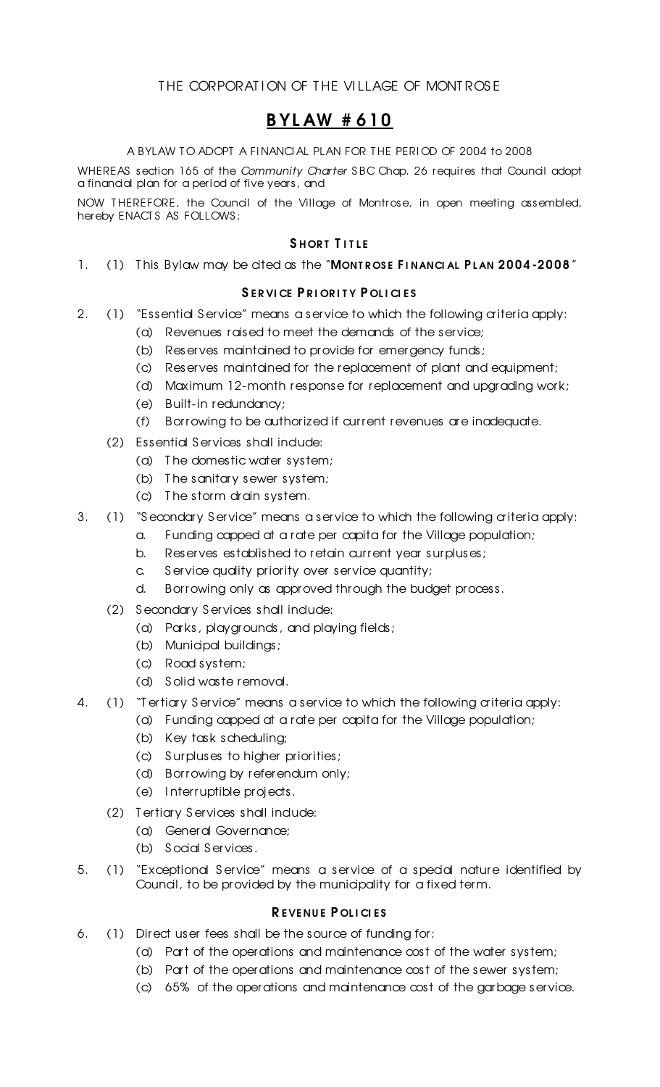## THE CORPORATION OF THE VILLAGE OF MONTROSE

## B YL AW # 610

A BYLAW TO ADOPT A FINANCIAL PLAN FOR THE PERIOD OF 2004 to 2008

WHEREAS section 165 of the *Community Charter* SBC Chap. 26 requires that Council adopt a financial plan for a period of five years, and

NOW T HEREFORE, the Council of the Village of Montrose, in open meeting assembled, hereby ENACT S AS FOLLOWS :

### SHORT TITLE

1. (1) This Bylaw may be cited as the "MONTROSE FINANCIAL PLAN 2004-2008"

## SERVICE PRIORITY POLICIES

- 2. (1) "Essential Service" means a service to which the following a iteria apply:
	- (a) Revenues raised to meet the demands of the service;
	- (b) Reserves maintained to provide for emergency funds;
	- (c) Reserves maintained for the replacement of plant and equipment;
	- (d) Maximum 12-month response for replacement and upgrading work;
	- (e) Built-in redundancy;
	- (f) Borrowing to be authorized if current revenues are inadequate.
	- (2) Essential Services shall indude:
		- (a) T he domestic water system;
		- (b) T he sanitary sewer system;
		- (c) T he storm drain system.
- 3. (1) "Secondary Service" means a service to which the following a iteria apply:
	- a. Funding capped at a rate per capita for the Village population;
		- b. Reserves established to retain current year surpluses;
		- c. Service quality priority over service quantity;
		- d. Borrowing only as approved through the budget process.
	- (2) Secondary Services shall indude:
		- (a) Parks, playgrounds, and playing fields;
		- (b) Municipal buildings;
		- (c) Road system;
		- (d) S olid waste removal.
- 4. (1) "T ertiary Service" means a service to which the following a iteria apply:
	- (a) Funding capped at a rate per capita for the Village population;
		- (b) Key task scheduling;
		- (c) S urpluses to higher priorities;
		- (d) Borrowing by referendum only;
		- (e) I nterruptible projects.
	- (2) Tertiary Services shall indude:
		- (a) General Governance;
		- (b) Social Services.
- 5. (1) "Exceptional S ervice" means a service of a special nature identified by Council, to be provided by the municipality for a fixed term.

## REVENUE POLICIES

- 6. (1) Direct user fees shall be the source of funding for:
	- (a) Part of the operations and maintenance cost of the water system;
	- (b) Part of the operations and maintenance cost of the sewer system;
	- (c) 65% of the operations and maintenance cost of the garbage service.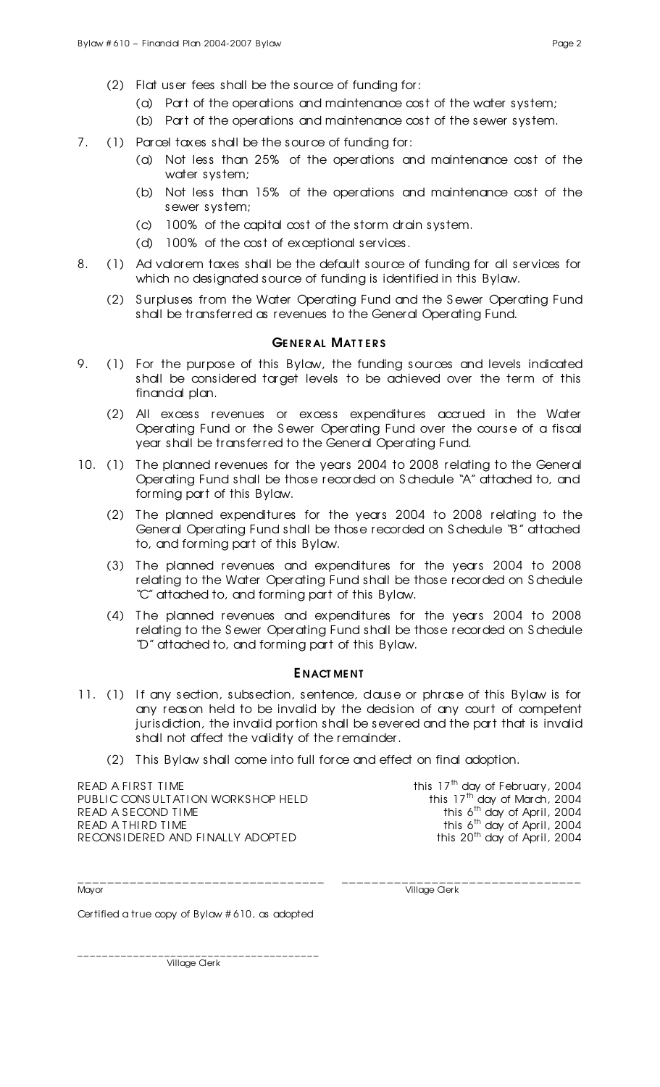- (2) Flat user fees shall be the source of funding for:
	- (a) Part of the operations and maintenance cost of the water system;
	- (b) Part of the operations and maintenance cost of the sewer system.
- 7. (1) Parcel taxes shall be the source of funding for:
	- (a) Not less than 25% of the operations and maintenance cost of the water system;
	- (b) Not less than 15% of the operations and maintenance cost of the sewer system;
	- (c) 100% of the capital cost of the storm drain system.
	- (d) 100% of the cost of exceptional services.
- 8. (1) Ad valorem taxes shall be the default source of funding for all services for which no designated source of funding is identified in this Bylaw.
	- (2) S urpluses from the Water Operating Fund and the S ewer Operating Fund shall be transferred as revenues to the General Operating Fund.

#### GENERAL MATTERS

- 9. (1) For the purpose of this Bylaw, the funding sources and levels indicated shall be considered target levels to be achieved over the term of this financial plan.
	- (2) All excess revenues or excess expenditures accrued in the Water Operating Fund or the S ewer Operating Fund over the course of a fiscal year shall be transferred to the General Operating Fund.
- 10. (1) The planned revenues for the years 2004 to 2008 relating to the General Operating Fund shall be those recorded on S chedule "A" attached to, and forming part of this Bylaw.
	- (2) T he planned expenditures for the years 2004 to 2008 relating to the General Operating Fund shall be those recorded on S chedule "B" attached to, and forming part of this Bylaw.
	- (3) T he planned revenues and expenditures for the years 2004 to 2008 relating to the Water Operating Fund shall be those recorded on S chedule "C" attached to, and forming part of this Bylaw.
	- (4) T he planned revenues and expenditures for the years 2004 to 2008 relating to the S ewer Operating Fund shall be those recorded on S chedule "D" attached to, and forming part of this Bylaw.

#### E NACT ME NT

- 11. (1) If any section, subsection, sentence, dause or phrase of this Bylaw is for any reason held to be invalid by the decision of any court of competent jurisdiction, the invalid portion shall be severed and the part that is invalid shall not affect the validity of the remainder.
	- (2) T his Bylaw shall come into full force and effect on final adoption.

READ A FIRST TIME<br>PUBLIC CONSULTATION WORKSHOP HELD this 17<sup>th</sup> day of February, 2004<br>this 17<sup>th</sup> day of March, 2004 PUBLIC CONSULT AT I ON WORKS HOP HELD READ A SECOND TIME READ A THIRD TIME this 6<sup>th</sup> day of April, 2004<br>RECONSIDERED AND FINALLY ADOPTED this 20<sup>th</sup> day of April, 2004 RECONS I DERED AND FINALLY ADOPTED

this 6<sup>th</sup> day of April, 2004 this 6<sup>th</sup> day of April, 2004

\_\_\_\_\_\_\_\_\_\_\_\_\_\_\_\_\_\_\_\_\_\_\_\_\_\_\_\_\_\_\_\_\_ \_\_\_\_\_\_\_\_\_\_\_\_\_\_\_\_\_\_\_\_\_\_\_\_\_\_\_\_\_\_\_\_

Mayor Village Clerk

Certified a true copy of Bylaw # 610, as adopted

\_\_\_\_\_\_\_\_\_\_\_\_\_\_\_\_\_\_\_\_\_\_\_\_\_\_\_\_\_\_\_\_\_\_\_\_\_\_\_ Village Clerk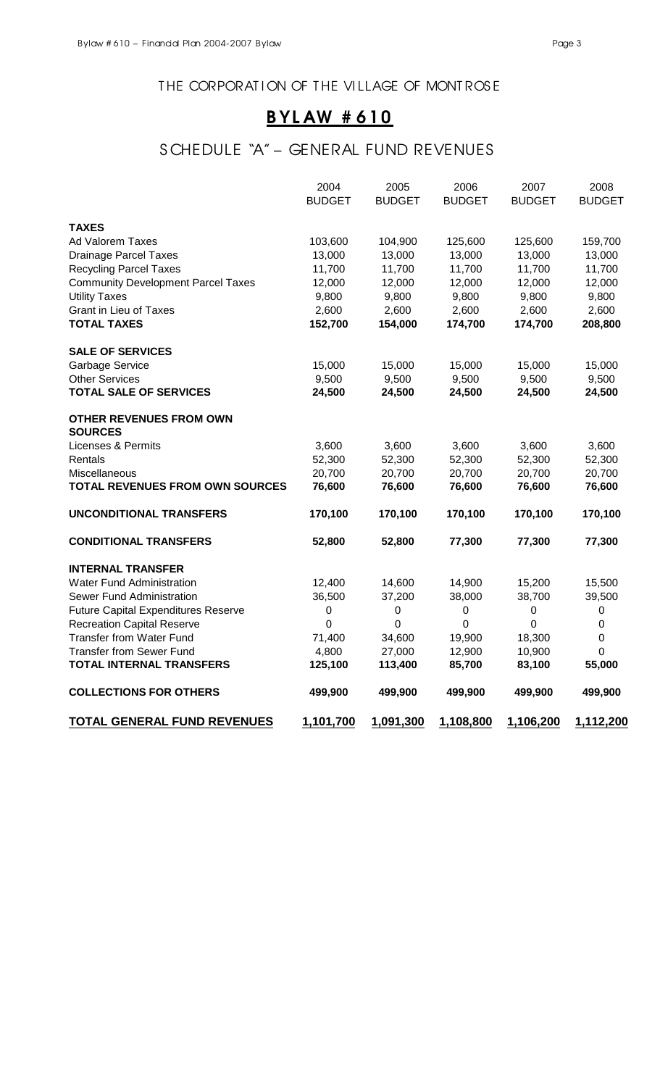### THE CORPORATION OF THE VILLAGE OF MONTROSE

# B YL AW # 610

## S CHEDULE "A" – GENERAL FUND REVENUES

|                                            | 2004          | 2005          | 2006          | 2007          | 2008          |
|--------------------------------------------|---------------|---------------|---------------|---------------|---------------|
|                                            | <b>BUDGET</b> | <b>BUDGET</b> | <b>BUDGET</b> | <b>BUDGET</b> | <b>BUDGET</b> |
| <b>TAXES</b>                               |               |               |               |               |               |
| Ad Valorem Taxes                           | 103,600       | 104,900       | 125,600       | 125,600       | 159,700       |
| <b>Drainage Parcel Taxes</b>               | 13,000        | 13,000        | 13,000        | 13,000        | 13,000        |
| <b>Recycling Parcel Taxes</b>              | 11,700        | 11,700        | 11,700        | 11,700        | 11,700        |
| <b>Community Development Parcel Taxes</b>  | 12,000        | 12,000        | 12,000        | 12,000        | 12,000        |
| <b>Utility Taxes</b>                       | 9,800         | 9,800         | 9,800         | 9,800         | 9,800         |
| <b>Grant in Lieu of Taxes</b>              | 2,600         | 2,600         | 2,600         | 2,600         | 2,600         |
| <b>TOTAL TAXES</b>                         | 152,700       | 154,000       | 174,700       | 174,700       | 208,800       |
| <b>SALE OF SERVICES</b>                    |               |               |               |               |               |
| <b>Garbage Service</b>                     | 15,000        | 15,000        | 15,000        | 15,000        | 15,000        |
| <b>Other Services</b>                      | 9,500         | 9,500         | 9,500         | 9,500         | 9,500         |
| <b>TOTAL SALE OF SERVICES</b>              | 24,500        | 24,500        | 24,500        | 24,500        | 24,500        |
| <b>OTHER REVENUES FROM OWN</b>             |               |               |               |               |               |
| <b>SOURCES</b>                             |               |               |               |               |               |
| <b>Licenses &amp; Permits</b>              | 3,600         | 3,600         | 3,600         | 3,600         | 3,600         |
| Rentals                                    | 52,300        | 52,300        | 52,300        | 52,300        | 52,300        |
| Miscellaneous                              | 20,700        | 20,700        | 20,700        | 20,700        | 20,700        |
| <b>TOTAL REVENUES FROM OWN SOURCES</b>     | 76,600        | 76,600        | 76,600        | 76,600        | 76,600        |
| <b>UNCONDITIONAL TRANSFERS</b>             | 170,100       | 170,100       | 170,100       | 170,100       | 170,100       |
| <b>CONDITIONAL TRANSFERS</b>               | 52,800        | 52,800        | 77,300        | 77,300        | 77,300        |
| <b>INTERNAL TRANSFER</b>                   |               |               |               |               |               |
| <b>Water Fund Administration</b>           | 12,400        | 14,600        | 14,900        | 15,200        | 15,500        |
| Sewer Fund Administration                  | 36,500        | 37,200        | 38,000        | 38,700        | 39,500        |
| <b>Future Capital Expenditures Reserve</b> | 0             | 0             | 0             | 0             | 0             |
| <b>Recreation Capital Reserve</b>          | 0             | 0             | 0             | 0             | 0             |
| <b>Transfer from Water Fund</b>            | 71,400        | 34,600        | 19,900        | 18,300        | 0             |
| <b>Transfer from Sewer Fund</b>            | 4,800         | 27,000        | 12,900        | 10,900        | 0             |
| <b>TOTAL INTERNAL TRANSFERS</b>            | 125,100       | 113,400       | 85,700        | 83,100        | 55,000        |
| <b>COLLECTIONS FOR OTHERS</b>              | 499,900       | 499,900       | 499,900       | 499,900       | 499,900       |
| <b>TOTAL GENERAL FUND REVENUES</b>         | 1,101,700     | 1,091,300     | 1,108,800     | 1,106,200     | 1,112,200     |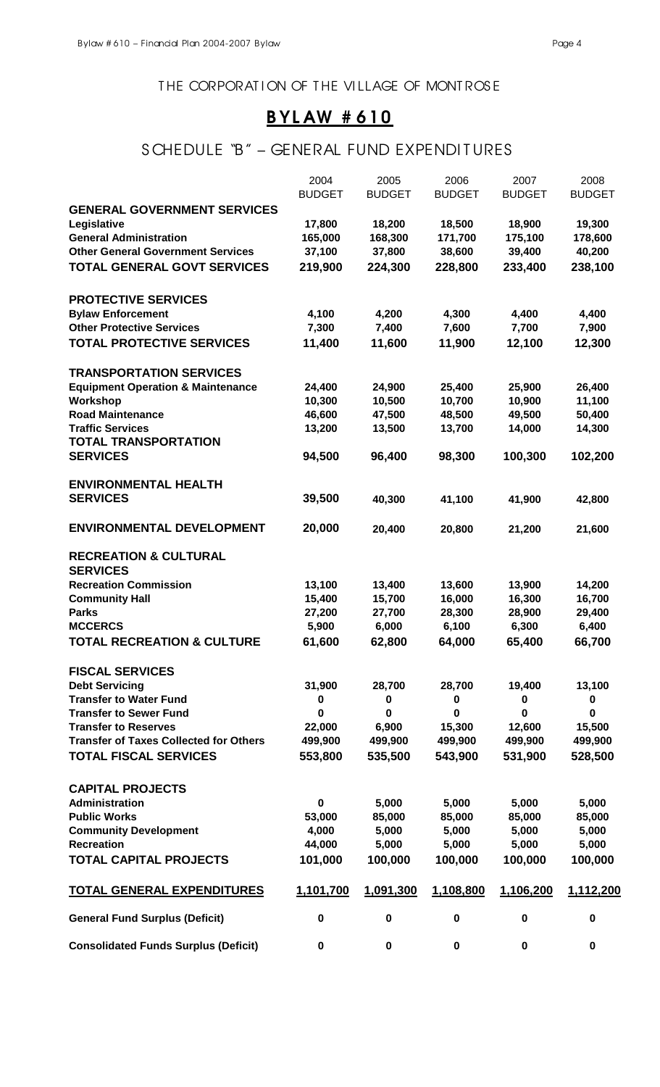### THE CORPORATION OF THE VILLAGE OF MONTROSE

# B YL AW # 610

## S CHEDULE "B" - GENERAL FUND EXPENDITURES

|                                                   | 2004          | 2005          | 2006          | 2007          | 2008          |
|---------------------------------------------------|---------------|---------------|---------------|---------------|---------------|
|                                                   | <b>BUDGET</b> | <b>BUDGET</b> | <b>BUDGET</b> | <b>BUDGET</b> | <b>BUDGET</b> |
| <b>GENERAL GOVERNMENT SERVICES</b><br>Legislative | 17,800        | 18,200        | 18,500        | 18,900        | 19,300        |
| <b>General Administration</b>                     | 165,000       | 168,300       | 171,700       | 175,100       | 178,600       |
| <b>Other General Government Services</b>          | 37,100        | 37,800        | 38,600        | 39,400        | 40,200        |
| <b>TOTAL GENERAL GOVT SERVICES</b>                | 219,900       | 224,300       | 228,800       | 233,400       | 238,100       |
|                                                   |               |               |               |               |               |
| <b>PROTECTIVE SERVICES</b>                        |               |               |               |               |               |
| <b>Bylaw Enforcement</b>                          | 4,100         | 4,200         | 4,300         | 4,400         | 4,400         |
| <b>Other Protective Services</b>                  | 7,300         | 7,400         | 7,600         | 7,700         | 7,900         |
| TOTAL PROTECTIVE SERVICES                         | 11,400        | 11,600        | 11,900        | 12,100        | 12,300        |
| <b>TRANSPORTATION SERVICES</b>                    |               |               |               |               |               |
| <b>Equipment Operation &amp; Maintenance</b>      | 24,400        | 24,900        | 25,400        | 25,900        | 26,400        |
| Workshop                                          | 10,300        | 10,500        | 10,700        | 10,900        | 11,100        |
| <b>Road Maintenance</b>                           | 46,600        | 47,500        | 48,500        | 49,500        | 50,400        |
| <b>Traffic Services</b>                           | 13,200        | 13,500        | 13,700        | 14,000        | 14,300        |
| <b>TOTAL TRANSPORTATION</b>                       |               |               |               |               |               |
| <b>SERVICES</b>                                   | 94,500        | 96,400        | 98,300        | 100,300       | 102,200       |
| <b>ENVIRONMENTAL HEALTH</b>                       |               |               |               |               |               |
| <b>SERVICES</b>                                   | 39,500        | 40,300        | 41,100        | 41,900        | 42,800        |
| <b>ENVIRONMENTAL DEVELOPMENT</b>                  | 20,000        | 20,400        | 20,800        | 21,200        | 21,600        |
| <b>RECREATION &amp; CULTURAL</b>                  |               |               |               |               |               |
| <b>SERVICES</b>                                   |               |               |               |               |               |
| <b>Recreation Commission</b>                      | 13,100        | 13,400        | 13,600        | 13,900        | 14,200        |
| <b>Community Hall</b>                             | 15,400        | 15,700        | 16,000        | 16,300        | 16,700        |
| <b>Parks</b>                                      | 27,200        | 27,700        | 28,300        | 28,900        | 29,400        |
| <b>MCCERCS</b>                                    | 5,900         | 6,000         | 6,100         | 6,300         | 6,400         |
| <b>TOTAL RECREATION &amp; CULTURE</b>             | 61,600        | 62,800        | 64,000        | 65,400        | 66,700        |
| <b>FISCAL SERVICES</b>                            |               |               |               |               |               |
| <b>Debt Servicing</b>                             | 31,900        | 28,700        | 28,700        | 19,400        | 13,100        |
| <b>Transfer to Water Fund</b>                     | 0             | $\pmb{0}$     | 0             | 0             | 0             |
| <b>Transfer to Sewer Fund</b>                     | 0             | 0             | 0             | $\bf{0}$      | 0             |
| <b>Transfer to Reserves</b>                       | 22,000        | 6,900         | 15,300        | 12,600        | 15,500        |
| <b>Transfer of Taxes Collected for Others</b>     | 499,900       | 499,900       | 499,900       | 499,900       | 499,900       |
| <b>TOTAL FISCAL SERVICES</b>                      | 553,800       | 535,500       | 543,900       | 531,900       | 528,500       |
| <b>CAPITAL PROJECTS</b>                           |               |               |               |               |               |
| Administration                                    | $\pmb{0}$     | 5,000         | 5,000         | 5,000         | 5,000         |
| <b>Public Works</b>                               | 53,000        | 85,000        | 85,000        | 85,000        | 85,000        |
| <b>Community Development</b>                      | 4,000         | 5,000         | 5,000         | 5,000         | 5,000         |
| <b>Recreation</b>                                 | 44,000        | 5,000         | 5,000         | 5,000         | 5,000         |
| <b>TOTAL CAPITAL PROJECTS</b>                     | 101,000       | 100,000       | 100,000       | 100,000       | 100,000       |
| <b>TOTAL GENERAL EXPENDITURES</b>                 | 1,101,700     | 1,091,300     | 1,108,800     | 1,106,200     | 1,112,200     |
| <b>General Fund Surplus (Deficit)</b>             | $\mathbf 0$   | $\pmb{0}$     | $\bf{0}$      | $\bf{0}$      | 0             |
| <b>Consolidated Funds Surplus (Deficit)</b>       | $\pmb{0}$     | $\mathbf 0$   | $\mathbf 0$   | $\pmb{0}$     | 0             |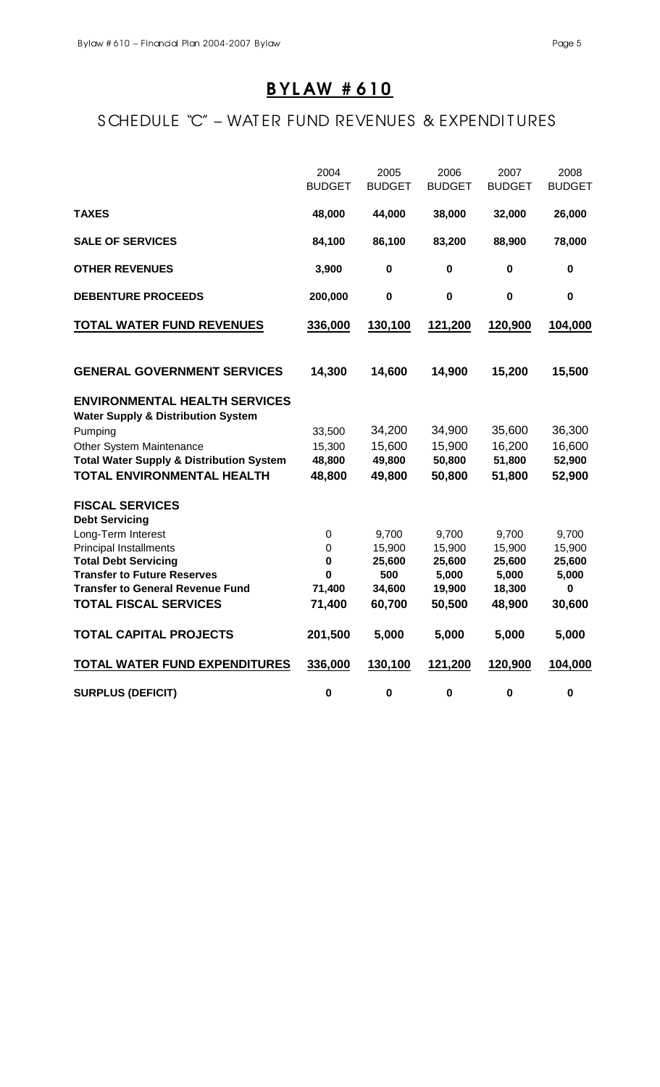# B YL AW # 610

# S CHEDULE "C" – WAT ER FUND REVENUES & EXPENDITURES

|                                                                                       | 2004<br><b>BUDGET</b> | 2005<br><b>BUDGET</b> | 2006<br><b>BUDGET</b> | 2007<br><b>BUDGET</b> | 2008<br><b>BUDGET</b> |
|---------------------------------------------------------------------------------------|-----------------------|-----------------------|-----------------------|-----------------------|-----------------------|
| <b>TAXES</b>                                                                          | 48,000                | 44,000                | 38,000                | 32,000                | 26,000                |
| <b>SALE OF SERVICES</b>                                                               | 84,100                | 86,100                | 83,200                | 88,900                | 78,000                |
| <b>OTHER REVENUES</b>                                                                 | 3,900                 | $\pmb{0}$             | $\bf{0}$              | 0                     | $\pmb{0}$             |
| <b>DEBENTURE PROCEEDS</b>                                                             | 200,000               | $\pmb{0}$             | $\pmb{0}$             | $\pmb{0}$             | $\mathbf 0$           |
| <b>TOTAL WATER FUND REVENUES</b>                                                      | 336,000               | 130,100               | 121,200               | 120,900               | 104,000               |
| <b>GENERAL GOVERNMENT SERVICES</b>                                                    | 14,300                | 14,600                | 14,900                | 15,200                | 15,500                |
| <b>ENVIRONMENTAL HEALTH SERVICES</b><br><b>Water Supply &amp; Distribution System</b> |                       |                       |                       |                       |                       |
| Pumping                                                                               | 33,500                | 34,200                | 34,900                | 35,600                | 36,300                |
| Other System Maintenance                                                              | 15,300                | 15,600                | 15,900                | 16,200                | 16,600                |
| <b>Total Water Supply &amp; Distribution System</b>                                   | 48,800                | 49,800                | 50,800                | 51,800                | 52,900                |
| <b>TOTAL ENVIRONMENTAL HEALTH</b>                                                     | 48,800                | 49,800                | 50,800                | 51,800                | 52,900                |
| <b>FISCAL SERVICES</b><br><b>Debt Servicing</b>                                       |                       |                       |                       |                       |                       |
| Long-Term Interest                                                                    | $\boldsymbol{0}$      | 9,700                 | 9,700                 | 9,700                 | 9,700                 |
| <b>Principal Installments</b>                                                         | $\boldsymbol{0}$      | 15,900                | 15,900                | 15,900                | 15,900                |
| <b>Total Debt Servicing</b>                                                           | $\mathbf 0$           | 25,600                | 25,600                | 25,600                | 25,600                |
| <b>Transfer to Future Reserves</b>                                                    | $\bf{0}$              | 500                   | 5,000                 | 5,000                 | 5,000                 |
| <b>Transfer to General Revenue Fund</b>                                               | 71,400                | 34,600                | 19,900                | 18,300                | 0                     |
| <b>TOTAL FISCAL SERVICES</b>                                                          | 71,400                | 60,700                | 50,500                | 48,900                | 30,600                |
| <b>TOTAL CAPITAL PROJECTS</b>                                                         | 201,500               | 5,000                 | 5,000                 | 5,000                 | 5,000                 |
| <b>TOTAL WATER FUND EXPENDITURES</b>                                                  | 336,000               | 130,100               | 121,200               | 120,900               | 104,000               |
| <b>SURPLUS (DEFICIT)</b>                                                              | $\bf{0}$              | $\pmb{0}$             | $\pmb{0}$             | $\pmb{0}$             | $\mathbf 0$           |